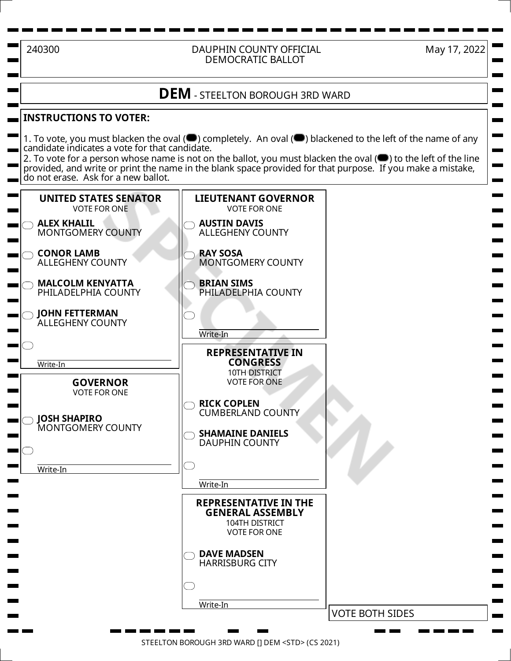## 240300 DAUPHIN COUNTY OFFICIAL DEMOCRATIC BALLOT

May 17, 2022

## **DEM** - STEELTON BOROUGH 3RD WARD

## **INSTRUCTIONS TO VOTER:**

1. To vote, you must blacken the oval (●) completely. An oval (●) blackened to the left of the name of any candidate indicates a vote for that candidate.

2. To vote for a person whose name is not on the ballot, you must blacken the oval  $(\bullet)$  to the left of the line provided, and write or print the name in the blank space provided for that purpose. If you make a mistake, do not erase. Ask for a new ballot.